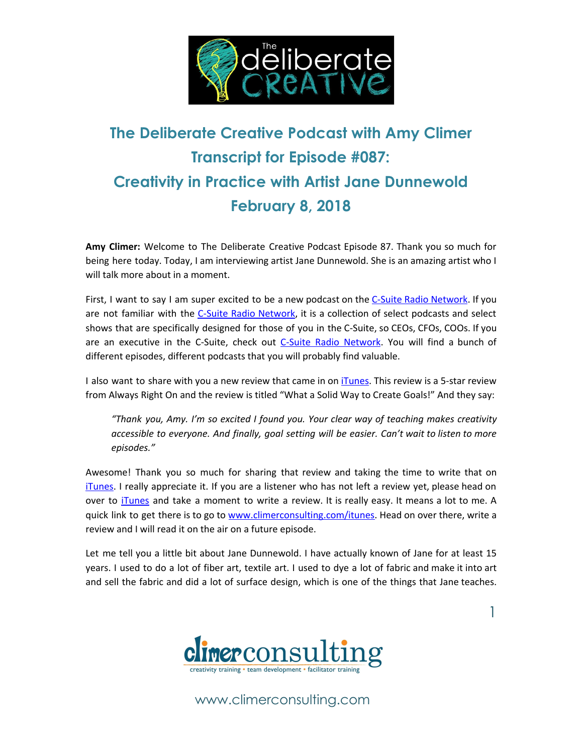

# **The Deliberate Creative Podcast with Amy Climer Transcript for Episode #087: Creativity in Practice with Artist Jane Dunnewold February 8, 2018**

**Amy Climer:** Welcome to The Deliberate Creative Podcast Episode 87. Thank you so much for being here today. Today, I am interviewing artist Jane Dunnewold. She is an amazing artist who I will talk more about in a moment.

First, I want to say I am super excited to be a new podcast on the C-Suite Radio [Network](http://www.c-suiteradio.com/shows/the-deliberate-creative/). If you are not familiar with the C-Suite Radio [Network](http://www.c-suiteradio.com/shows/the-deliberate-creative/), it is a collection of select podcasts and select shows that are specifically designed for those of you in the C-Suite, so CEOs, CFOs, COOs. If you are an executive in the C-Suite, check out C-Suite Radio [Network.](http://www.c-suiteradio.com/shows/the-deliberate-creative/) You will find a bunch of different episodes, different podcasts that you will probably find valuable.

I also want to share with you a new review that came in on *iTunes*. This review is a 5-star review from Always Right On and the review is titled "What a Solid Way to Create Goals!" And they say:

*"Thank you, Amy. I'm so excited I found you. Your clear way of teaching makes creativity accessible to everyone. And finally, goal setting will be easier. Can't wait to listen to more episodes."*

Awesome! Thank you so much for sharing that review and taking the time to write that on [iTunes](http://www.climerconsulting.com/itunes). I really appreciate it. If you are a listener who has not left a review yet, please head on over to [iTunes](http://www.climerconsulting.com/itunes) and take a moment to write a review. It is really easy. It means a lot to me. A quick link to get there is to go to [www.climerconsulting.com/itunes.](http://www.climerconsulting.com/itunes) Head on over there, write a review and I will read it on the air on a future episode.

Let me tell you a little bit about Jane Dunnewold. I have actually known of Jane for at least 15 years. I used to do a lot of fiber art, textile art. I used to dye a lot of fabric and make it into art and sell the fabric and did a lot of surface design, which is one of the things that Jane teaches.

1

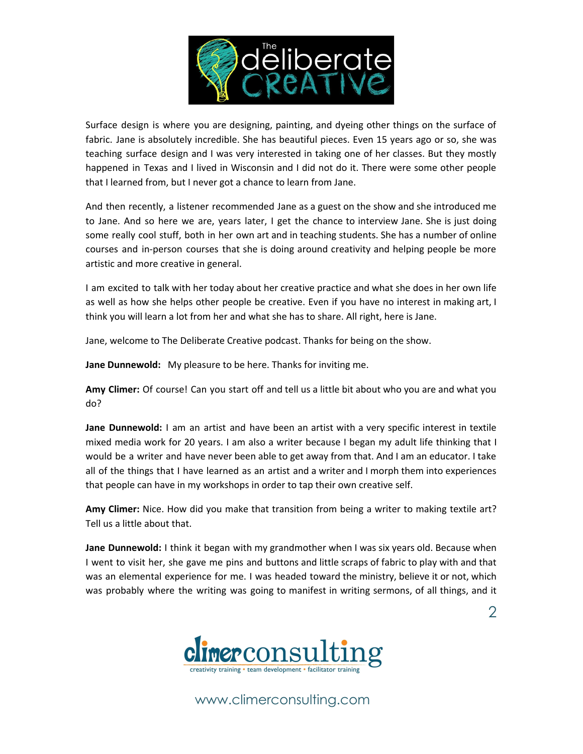

Surface design is where you are designing, painting, and dyeing other things on the surface of fabric. Jane is absolutely incredible. She has beautiful pieces. Even 15 years ago or so, she was teaching surface design and I was very interested in taking one of her classes. But they mostly happened in Texas and I lived in Wisconsin and I did not do it. There were some other people that I learned from, but I never got a chance to learn from Jane.

And then recently, a listener recommended Jane as a guest on the show and she introduced me to Jane. And so here we are, years later, I get the chance to interview Jane. She is just doing some really cool stuff, both in her own art and in teaching students. She has a number of online courses and in-person courses that she is doing around creativity and helping people be more artistic and more creative in general.

I am excited to talk with her today about her creative practice and what she does in her own life as well as how she helps other people be creative. Even if you have no interest in making art, I think you will learn a lot from her and what she has to share. All right, here is Jane.

Jane, welcome to The Deliberate Creative podcast. Thanks for being on the show.

**Jane Dunnewold:** My pleasure to be here. Thanks for inviting me.

**Amy Climer:** Of course! Can you start off and tell us a little bit about who you are and what you do?

**Jane Dunnewold:** I am an artist and have been an artist with a very specific interest in textile mixed media work for 20 years. I am also a writer because I began my adult life thinking that I would be a writer and have never been able to get away from that. And I am an educator. I take all of the things that I have learned as an artist and a writer and I morph them into experiences that people can have in my workshops in order to tap their own creative self.

**Amy Climer:** Nice. How did you make that transition from being a writer to making textile art? Tell us a little about that.

**Jane Dunnewold:** I think it began with my grandmother when I was six years old. Because when I went to visit her, she gave me pins and buttons and little scraps of fabric to play with and that was an elemental experience for me. I was headed toward the ministry, believe it or not, which was probably where the writing was going to manifest in writing sermons, of all things, and it

2

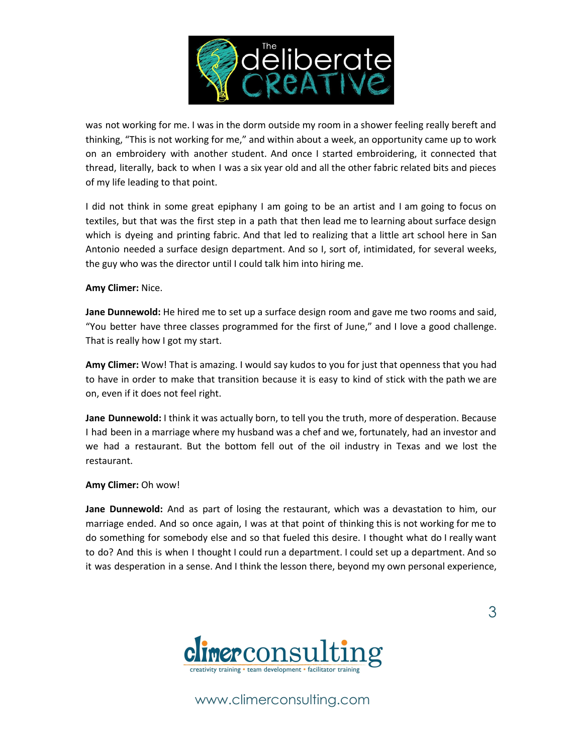

was not working for me. I was in the dorm outside my room in a shower feeling really bereft and thinking, "This is not working for me," and within about a week, an opportunity came up to work on an embroidery with another student. And once I started embroidering, it connected that thread, literally, back to when I was a six year old and all the other fabric related bits and pieces of my life leading to that point.

I did not think in some great epiphany I am going to be an artist and I am going to focus on textiles, but that was the first step in a path that then lead me to learning about surface design which is dyeing and printing fabric. And that led to realizing that a little art school here in San Antonio needed a surface design department. And so I, sort of, intimidated, for several weeks, the guy who was the director until I could talk him into hiring me.

#### **Amy Climer:** Nice.

**Jane Dunnewold:** He hired me to set up a surface design room and gave me two rooms and said, "You better have three classes programmed for the first of June," and I love a good challenge. That is really how I got my start.

**Amy Climer:** Wow! That is amazing. I would say kudos to you for just that openness that you had to have in order to make that transition because it is easy to kind of stick with the path we are on, even if it does not feel right.

**Jane Dunnewold:** I think it was actually born, to tell you the truth, more of desperation. Because I had been in a marriage where my husband was a chef and we, fortunately, had an investor and we had a restaurant. But the bottom fell out of the oil industry in Texas and we lost the restaurant.

#### **Amy Climer:** Oh wow!

**Jane Dunnewold:** And as part of losing the restaurant, which was a devastation to him, our marriage ended. And so once again, I was at that point of thinking this is not working for me to do something for somebody else and so that fueled this desire. I thought what do I really want to do? And this is when I thought I could run a department. I could set up a department. And so it was desperation in a sense. And I think the lesson there, beyond my own personal experience,



www.climerconsulting.com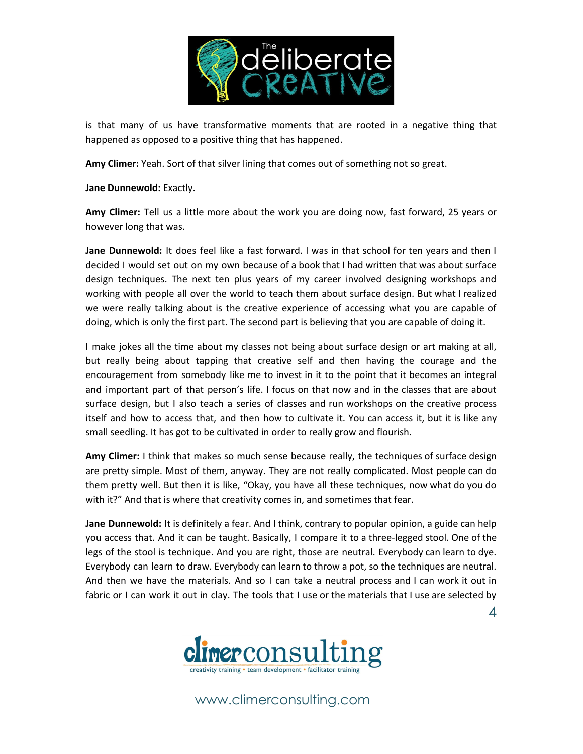

is that many of us have transformative moments that are rooted in a negative thing that happened as opposed to a positive thing that has happened.

**Amy Climer:** Yeah. Sort of that silver lining that comes out of something not so great.

**Jane Dunnewold:** Exactly.

**Amy Climer:** Tell us a little more about the work you are doing now, fast forward, 25 years or however long that was.

**Jane Dunnewold:** It does feel like a fast forward. I was in that school for ten years and then I decided I would set out on my own because of a book that I had written that was about surface design techniques. The next ten plus years of my career involved designing workshops and working with people all over the world to teach them about surface design. But what I realized we were really talking about is the creative experience of accessing what you are capable of doing, which is only the first part. The second part is believing that you are capable of doing it.

I make jokes all the time about my classes not being about surface design or art making at all, but really being about tapping that creative self and then having the courage and the encouragement from somebody like me to invest in it to the point that it becomes an integral and important part of that person's life. I focus on that now and in the classes that are about surface design, but I also teach a series of classes and run workshops on the creative process itself and how to access that, and then how to cultivate it. You can access it, but it is like any small seedling. It has got to be cultivated in order to really grow and flourish.

**Amy Climer:** I think that makes so much sense because really, the techniques of surface design are pretty simple. Most of them, anyway. They are not really complicated. Most people can do them pretty well. But then it is like, "Okay, you have all these techniques, now what do you do with it?" And that is where that creativity comes in, and sometimes that fear.

**Jane Dunnewold:** It is definitely a fear. And I think, contrary to popular opinion, a guide can help you access that. And it can be taught. Basically, I compare it to a three-legged stool. One of the legs of the stool is technique. And you are right, those are neutral. Everybody can learn to dye. Everybody can learn to draw. Everybody can learn to throw a pot, so the techniques are neutral. And then we have the materials. And so I can take a neutral process and I can work it out in fabric or I can work it out in clay. The tools that I use or the materials that I use are selected by

4

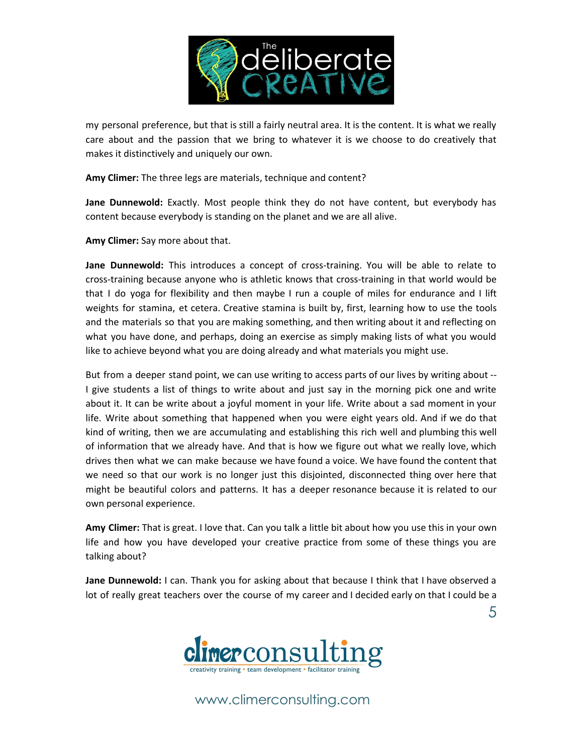

my personal preference, but that is still a fairly neutral area. It is the content. It is what we really care about and the passion that we bring to whatever it is we choose to do creatively that makes it distinctively and uniquely our own.

**Amy Climer:** The three legs are materials, technique and content?

**Jane Dunnewold:** Exactly. Most people think they do not have content, but everybody has content because everybody is standing on the planet and we are all alive.

**Amy Climer:** Say more about that.

**Jane Dunnewold:** This introduces a concept of cross-training. You will be able to relate to cross-training because anyone who is athletic knows that cross-training in that world would be that I do yoga for flexibility and then maybe I run a couple of miles for endurance and I lift weights for stamina, et cetera. Creative stamina is built by, first, learning how to use the tools and the materials so that you are making something, and then writing about it and reflecting on what you have done, and perhaps, doing an exercise as simply making lists of what you would like to achieve beyond what you are doing already and what materials you might use.

But from a deeper stand point, we can use writing to access parts of our lives by writing about -- I give students a list of things to write about and just say in the morning pick one and write about it. It can be write about a joyful moment in your life. Write about a sad moment in your life. Write about something that happened when you were eight years old. And if we do that kind of writing, then we are accumulating and establishing this rich well and plumbing this well of information that we already have. And that is how we figure out what we really love, which drives then what we can make because we have found a voice. We have found the content that we need so that our work is no longer just this disjointed, disconnected thing over here that might be beautiful colors and patterns. It has a deeper resonance because it is related to our own personal experience.

**Amy Climer:** That is great. I love that. Can you talk a little bit about how you use this in your own life and how you have developed your creative practice from some of these things you are talking about?

**Jane Dunnewold:** I can. Thank you for asking about that because I think that I have observed a lot of really great teachers over the course of my career and I decided early on that I could be a

5

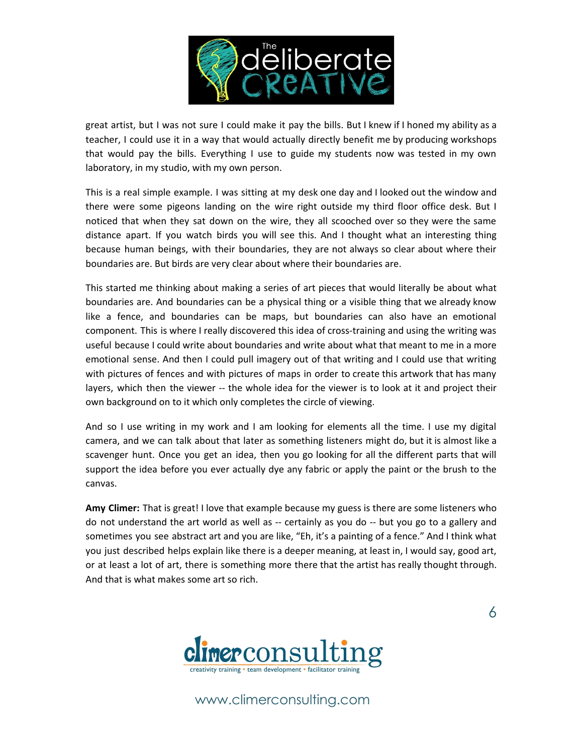

great artist, but I was not sure I could make it pay the bills. But I knew if I honed my ability as a teacher, I could use it in a way that would actually directly benefit me by producing workshops that would pay the bills. Everything I use to guide my students now was tested in my own laboratory, in my studio, with my own person.

This is a real simple example. I was sitting at my desk one day and I looked out the window and there were some pigeons landing on the wire right outside my third floor office desk. But I noticed that when they sat down on the wire, they all scooched over so they were the same distance apart. If you watch birds you will see this. And I thought what an interesting thing because human beings, with their boundaries, they are not always so clear about where their boundaries are. But birds are very clear about where their boundaries are.

This started me thinking about making a series of art pieces that would literally be about what boundaries are. And boundaries can be a physical thing or a visible thing that we already know like a fence, and boundaries can be maps, but boundaries can also have an emotional component. This is where I really discovered this idea of cross-training and using the writing was useful because I could write about boundaries and write about what that meant to me in a more emotional sense. And then I could pull imagery out of that writing and I could use that writing with pictures of fences and with pictures of maps in order to create this artwork that has many layers, which then the viewer -- the whole idea for the viewer is to look at it and project their own background on to it which only completes the circle of viewing.

And so I use writing in my work and I am looking for elements all the time. I use my digital camera, and we can talk about that later as something listeners might do, but it is almost like a scavenger hunt. Once you get an idea, then you go looking for all the different parts that will support the idea before you ever actually dye any fabric or apply the paint or the brush to the canvas.

**Amy Climer:** That is great! I love that example because my guess is there are some listeners who do not understand the art world as well as -- certainly as you do -- but you go to a gallery and sometimes you see abstract art and you are like, "Eh, it's a painting of a fence." And I think what you just described helps explain like there is a deeper meaning, at least in, I would say, good art, or at least a lot of art, there is something more there that the artist has really thought through. And that is what makes some art so rich.



www.climerconsulting.com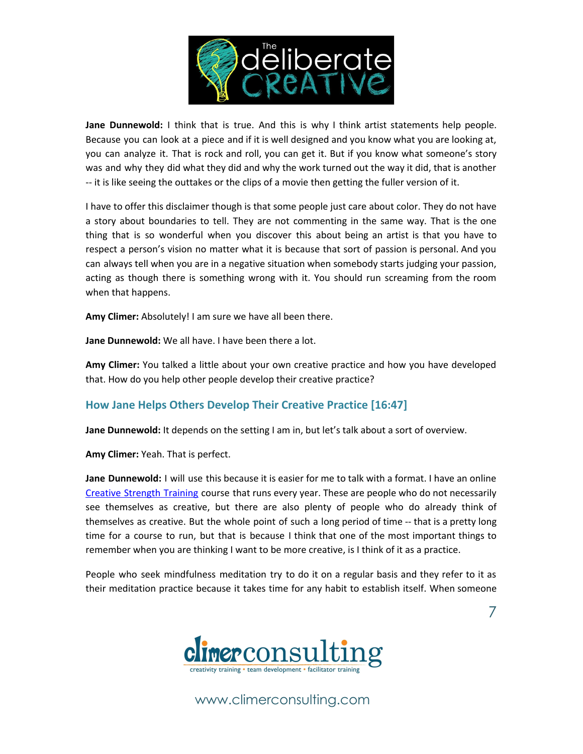

**Jane Dunnewold:** I think that is true. And this is why I think artist statements help people. Because you can look at a piece and if it is well designed and you know what you are looking at, you can analyze it. That is rock and roll, you can get it. But if you know what someone's story was and why they did what they did and why the work turned out the way it did, that is another -- it is like seeing the outtakes or the clips of a movie then getting the fuller version of it.

I have to offer this disclaimer though is that some people just care about color. They do not have a story about boundaries to tell. They are not commenting in the same way. That is the one thing that is so wonderful when you discover this about being an artist is that you have to respect a person's vision no matter what it is because that sort of passion is personal. And you can always tell when you are in a negative situation when somebody starts judging your passion, acting as though there is something wrong with it. You should run screaming from the room when that happens.

**Amy Climer:** Absolutely! I am sure we have all been there.

**Jane Dunnewold:** We all have. I have been there a lot.

**Amy Climer:** You talked a little about your own creative practice and how you have developed that. How do you help other people develop their creative practice?

# **How Jane Helps Others Develop Their Creative Practice [16:47]**

**Jane Dunnewold:** It depends on the setting I am in, but let's talk about a sort of overview.

**Amy Climer:** Yeah. That is perfect.

**Jane Dunnewold:** I will use this because it is easier for me to talk with a format. I have an online Creative [Strength](http://www.janedunnewold.com/cstonline/) Training course that runs every year. These are people who do not necessarily see themselves as creative, but there are also plenty of people who do already think of themselves as creative. But the whole point of such a long period of time -- that is a pretty long time for a course to run, but that is because I think that one of the most important things to remember when you are thinking I want to be more creative, is I think of it as a practice.

People who seek mindfulness meditation try to do it on a regular basis and they refer to it as their meditation practice because it takes time for any habit to establish itself. When someone

7

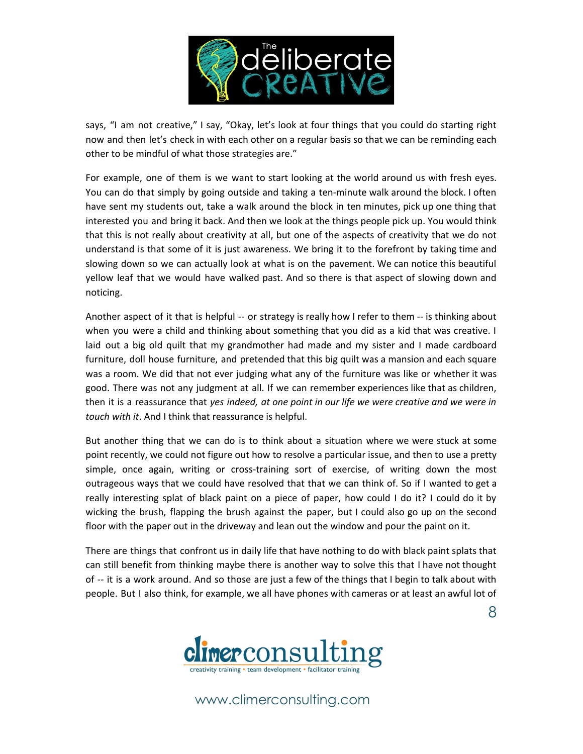

says, "I am not creative," I say, "Okay, let's look at four things that you could do starting right now and then let's check in with each other on a regular basis so that we can be reminding each other to be mindful of what those strategies are."

For example, one of them is we want to start looking at the world around us with fresh eyes. You can do that simply by going outside and taking a ten-minute walk around the block. I often have sent my students out, take a walk around the block in ten minutes, pick up one thing that interested you and bring it back. And then we look at the things people pick up. You would think that this is not really about creativity at all, but one of the aspects of creativity that we do not understand is that some of it is just awareness. We bring it to the forefront by taking time and slowing down so we can actually look at what is on the pavement. We can notice this beautiful yellow leaf that we would have walked past. And so there is that aspect of slowing down and noticing.

Another aspect of it that is helpful -- or strategy is really how I refer to them -- is thinking about when you were a child and thinking about something that you did as a kid that was creative. I laid out a big old quilt that my grandmother had made and my sister and I made cardboard furniture, doll house furniture, and pretended that this big quilt was a mansion and each square was a room. We did that not ever judging what any of the furniture was like or whether it was good. There was not any judgment at all. If we can remember experiences like that as children, then it is a reassurance that *yes indeed, at one point in our life we were creative and we were in touch with it*. And I think that reassurance is helpful.

But another thing that we can do is to think about a situation where we were stuck at some point recently, we could not figure out how to resolve a particular issue, and then to use a pretty simple, once again, writing or cross-training sort of exercise, of writing down the most outrageous ways that we could have resolved that that we can think of. So if I wanted to get a really interesting splat of black paint on a piece of paper, how could I do it? I could do it by wicking the brush, flapping the brush against the paper, but I could also go up on the second floor with the paper out in the driveway and lean out the window and pour the paint on it.

There are things that confront us in daily life that have nothing to do with black paint splats that can still benefit from thinking maybe there is another way to solve this that I have not thought of -- it is a work around. And so those are just a few of the things that I begin to talk about with people. But I also think, for example, we all have phones with cameras or at least an awful lot of

8

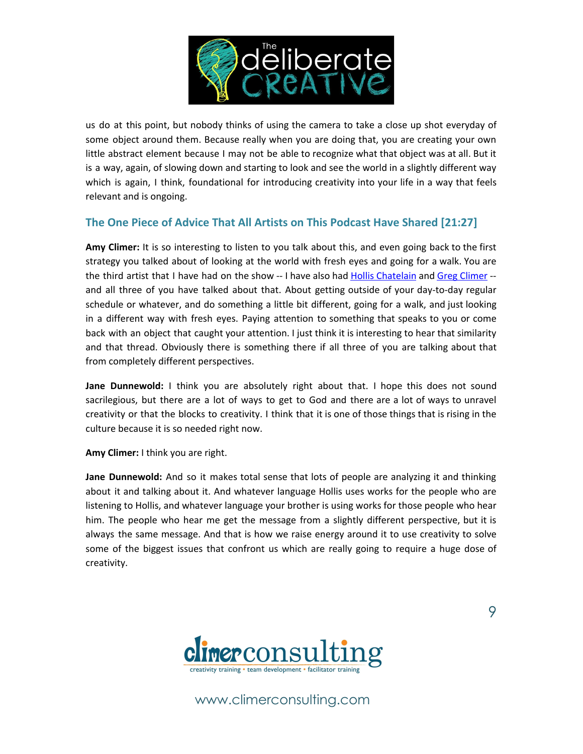

us do at this point, but nobody thinks of using the camera to take a close up shot everyday of some object around them. Because really when you are doing that, you are creating your own little abstract element because I may not be able to recognize what that object was at all. But it is a way, again, of slowing down and starting to look and see the world in a slightly different way which is again, I think, foundational for introducing creativity into your life in a way that feels relevant and is ongoing.

## **The One Piece of Advice That All Artists on This Podcast Have Shared [21:27]**

**Amy Climer:** It is so interesting to listen to you talk about this, and even going back to the first strategy you talked about of looking at the world with fresh eyes and going for a walk. You are the third artist that I have had on the show -- I have also had Hollis [Chatelain](http://climerconsulting.com/083) and Greg [Climer](http://climerconsulting.com/069) -and all three of you have talked about that. About getting outside of your day-to-day regular schedule or whatever, and do something a little bit different, going for a walk, and just looking in a different way with fresh eyes. Paying attention to something that speaks to you or come back with an object that caught your attention. I just think it is interesting to hear that similarity and that thread. Obviously there is something there if all three of you are talking about that from completely different perspectives.

**Jane Dunnewold:** I think you are absolutely right about that. I hope this does not sound sacrilegious, but there are a lot of ways to get to God and there are a lot of ways to unravel creativity or that the blocks to creativity. I think that it is one of those things that is rising in the culture because it is so needed right now.

**Amy Climer:** I think you are right.

**Jane Dunnewold:** And so it makes total sense that lots of people are analyzing it and thinking about it and talking about it. And whatever language Hollis uses works for the people who are listening to Hollis, and whatever language your brother is using works for those people who hear him. The people who hear me get the message from a slightly different perspective, but it is always the same message. And that is how we raise energy around it to use creativity to solve some of the biggest issues that confront us which are really going to require a huge dose of creativity.



9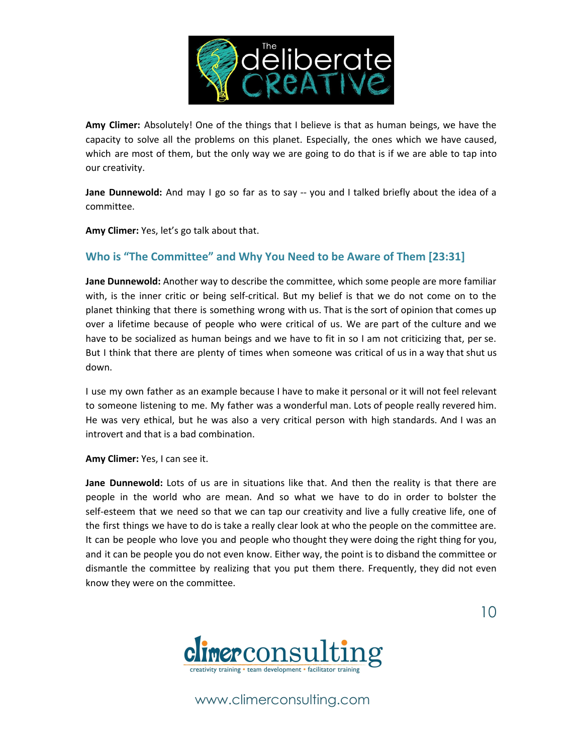

**Amy Climer:** Absolutely! One of the things that I believe is that as human beings, we have the capacity to solve all the problems on this planet. Especially, the ones which we have caused, which are most of them, but the only way we are going to do that is if we are able to tap into our creativity.

**Jane Dunnewold:** And may I go so far as to say -- you and I talked briefly about the idea of a committee.

**Amy Climer:** Yes, let's go talk about that.

## **Who is "The Committee" and Why You Need to be Aware of Them [23:31]**

**Jane Dunnewold:** Another way to describe the committee, which some people are more familiar with, is the inner critic or being self-critical. But my belief is that we do not come on to the planet thinking that there is something wrong with us. That is the sort of opinion that comes up over a lifetime because of people who were critical of us. We are part of the culture and we have to be socialized as human beings and we have to fit in so I am not criticizing that, per se. But I think that there are plenty of times when someone was critical of us in a way that shut us down.

I use my own father as an example because I have to make it personal or it will not feel relevant to someone listening to me. My father was a wonderful man. Lots of people really revered him. He was very ethical, but he was also a very critical person with high standards. And I was an introvert and that is a bad combination.

**Amy Climer:** Yes, I can see it.

**Jane Dunnewold:** Lots of us are in situations like that. And then the reality is that there are people in the world who are mean. And so what we have to do in order to bolster the self-esteem that we need so that we can tap our creativity and live a fully creative life, one of the first things we have to do is take a really clear look at who the people on the committee are. It can be people who love you and people who thought they were doing the right thing for you, and it can be people you do not even know. Either way, the point is to disband the committee or dismantle the committee by realizing that you put them there. Frequently, they did not even know they were on the committee.



www.climerconsulting.com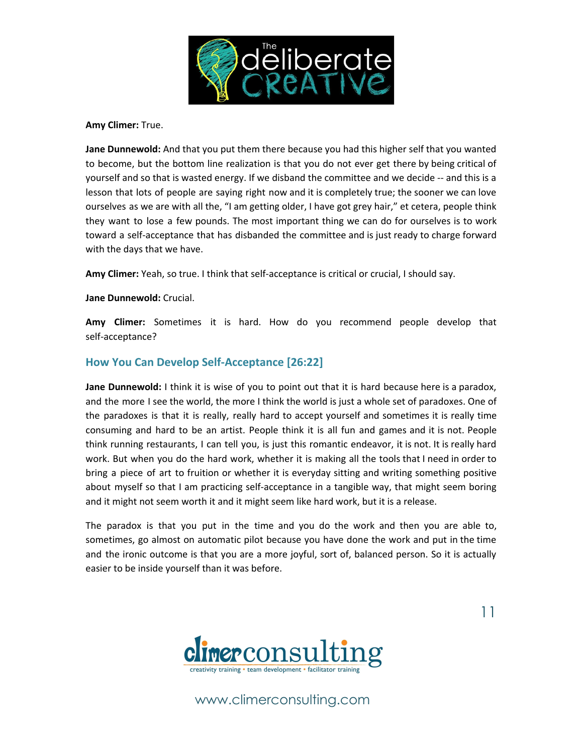

**Amy Climer:** True.

**Jane Dunnewold:** And that you put them there because you had this higher self that you wanted to become, but the bottom line realization is that you do not ever get there by being critical of yourself and so that is wasted energy. If we disband the committee and we decide -- and this is a lesson that lots of people are saying right now and it is completely true; the sooner we can love ourselves as we are with all the, "I am getting older, I have got grey hair," et cetera, people think they want to lose a few pounds. The most important thing we can do for ourselves is to work toward a self-acceptance that has disbanded the committee and is just ready to charge forward with the days that we have.

**Amy Climer:** Yeah, so true. I think that self-acceptance is critical or crucial, I should say.

**Jane Dunnewold:** Crucial.

**Amy Climer:** Sometimes it is hard. How do you recommend people develop that self-acceptance?

## **How You Can Develop Self-Acceptance [26:22]**

**Jane Dunnewold:** I think it is wise of you to point out that it is hard because here is a paradox, and the more I see the world, the more I think the world is just a whole set of paradoxes. One of the paradoxes is that it is really, really hard to accept yourself and sometimes it is really time consuming and hard to be an artist. People think it is all fun and games and it is not. People think running restaurants, I can tell you, is just this romantic endeavor, it is not. It is really hard work. But when you do the hard work, whether it is making all the tools that I need in order to bring a piece of art to fruition or whether it is everyday sitting and writing something positive about myself so that I am practicing self-acceptance in a tangible way, that might seem boring and it might not seem worth it and it might seem like hard work, but it is a release.

The paradox is that you put in the time and you do the work and then you are able to, sometimes, go almost on automatic pilot because you have done the work and put in the time and the ironic outcome is that you are a more joyful, sort of, balanced person. So it is actually easier to be inside yourself than it was before.



www.climerconsulting.com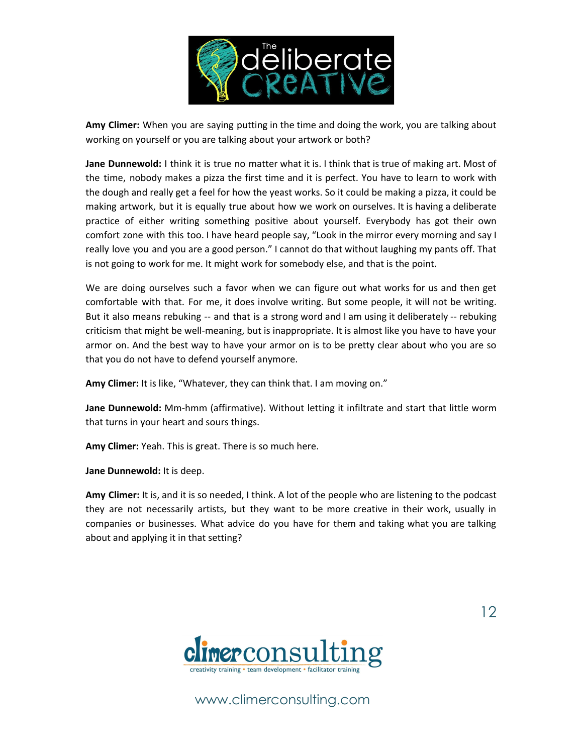

**Amy Climer:** When you are saying putting in the time and doing the work, you are talking about working on yourself or you are talking about your artwork or both?

**Jane Dunnewold:** I think it is true no matter what it is. I think that is true of making art. Most of the time, nobody makes a pizza the first time and it is perfect. You have to learn to work with the dough and really get a feel for how the yeast works. So it could be making a pizza, it could be making artwork, but it is equally true about how we work on ourselves. It is having a deliberate practice of either writing something positive about yourself. Everybody has got their own comfort zone with this too. I have heard people say, "Look in the mirror every morning and say I really love you and you are a good person." I cannot do that without laughing my pants off. That is not going to work for me. It might work for somebody else, and that is the point.

We are doing ourselves such a favor when we can figure out what works for us and then get comfortable with that. For me, it does involve writing. But some people, it will not be writing. But it also means rebuking -- and that is a strong word and I am using it deliberately -- rebuking criticism that might be well-meaning, but is inappropriate. It is almost like you have to have your armor on. And the best way to have your armor on is to be pretty clear about who you are so that you do not have to defend yourself anymore.

**Amy Climer:** It is like, "Whatever, they can think that. I am moving on."

**Jane Dunnewold:** Mm-hmm (affirmative). Without letting it infiltrate and start that little worm that turns in your heart and sours things.

**Amy Climer:** Yeah. This is great. There is so much here.

**Jane Dunnewold:** It is deep.

**Amy Climer:** It is, and it is so needed, I think. A lot of the people who are listening to the podcast they are not necessarily artists, but they want to be more creative in their work, usually in companies or businesses. What advice do you have for them and taking what you are talking about and applying it in that setting?



www.climerconsulting.com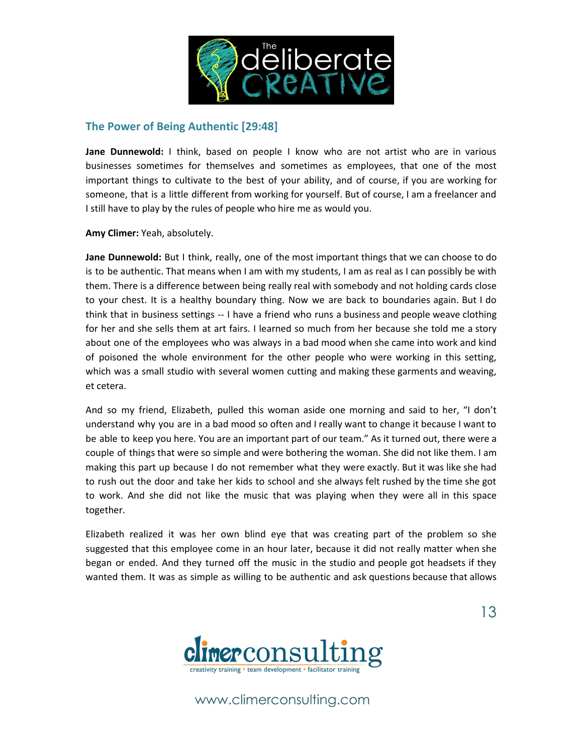

### **The Power of Being Authentic [29:48]**

**Jane Dunnewold:** I think, based on people I know who are not artist who are in various businesses sometimes for themselves and sometimes as employees, that one of the most important things to cultivate to the best of your ability, and of course, if you are working for someone, that is a little different from working for yourself. But of course, I am a freelancer and I still have to play by the rules of people who hire me as would you.

**Amy Climer:** Yeah, absolutely.

**Jane Dunnewold:** But I think, really, one of the most important things that we can choose to do is to be authentic. That means when I am with my students, I am as real as I can possibly be with them. There is a difference between being really real with somebody and not holding cards close to your chest. It is a healthy boundary thing. Now we are back to boundaries again. But I do think that in business settings -- I have a friend who runs a business and people weave clothing for her and she sells them at art fairs. I learned so much from her because she told me a story about one of the employees who was always in a bad mood when she came into work and kind of poisoned the whole environment for the other people who were working in this setting, which was a small studio with several women cutting and making these garments and weaving, et cetera.

And so my friend, Elizabeth, pulled this woman aside one morning and said to her, "I don't understand why you are in a bad mood so often and I really want to change it because I want to be able to keep you here. You are an important part of our team." As it turned out, there were a couple of things that were so simple and were bothering the woman. She did not like them. I am making this part up because I do not remember what they were exactly. But it was like she had to rush out the door and take her kids to school and she always felt rushed by the time she got to work. And she did not like the music that was playing when they were all in this space together.

Elizabeth realized it was her own blind eye that was creating part of the problem so she suggested that this employee come in an hour later, because it did not really matter when she began or ended. And they turned off the music in the studio and people got headsets if they wanted them. It was as simple as willing to be authentic and ask questions because that allows



www.climerconsulting.com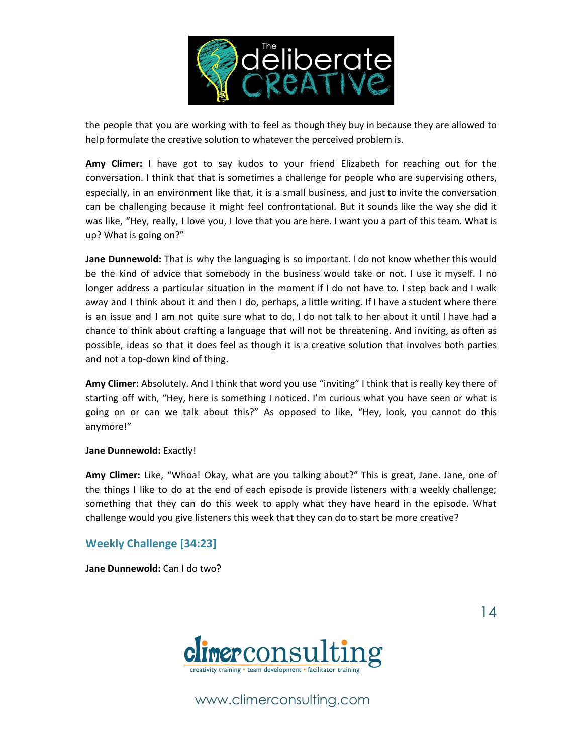

the people that you are working with to feel as though they buy in because they are allowed to help formulate the creative solution to whatever the perceived problem is.

**Amy Climer:** I have got to say kudos to your friend Elizabeth for reaching out for the conversation. I think that that is sometimes a challenge for people who are supervising others, especially, in an environment like that, it is a small business, and just to invite the conversation can be challenging because it might feel confrontational. But it sounds like the way she did it was like, "Hey, really, I love you, I love that you are here. I want you a part of this team. What is up? What is going on?"

**Jane Dunnewold:** That is why the languaging is so important. I do not know whether this would be the kind of advice that somebody in the business would take or not. I use it myself. I no longer address a particular situation in the moment if I do not have to. I step back and I walk away and I think about it and then I do, perhaps, a little writing. If I have a student where there is an issue and I am not quite sure what to do, I do not talk to her about it until I have had a chance to think about crafting a language that will not be threatening. And inviting, as often as possible, ideas so that it does feel as though it is a creative solution that involves both parties and not a top-down kind of thing.

**Amy Climer:** Absolutely. And I think that word you use "inviting" I think that is really key there of starting off with, "Hey, here is something I noticed. I'm curious what you have seen or what is going on or can we talk about this?" As opposed to like, "Hey, look, you cannot do this anymore!"

#### **Jane Dunnewold:** Exactly!

**Amy Climer:** Like, "Whoa! Okay, what are you talking about?" This is great, Jane. Jane, one of the things I like to do at the end of each episode is provide listeners with a weekly challenge; something that they can do this week to apply what they have heard in the episode. What challenge would you give listeners this week that they can do to start be more creative?

#### **Weekly Challenge [34:23]**

**Jane Dunnewold:** Can I do two?



www.climerconsulting.com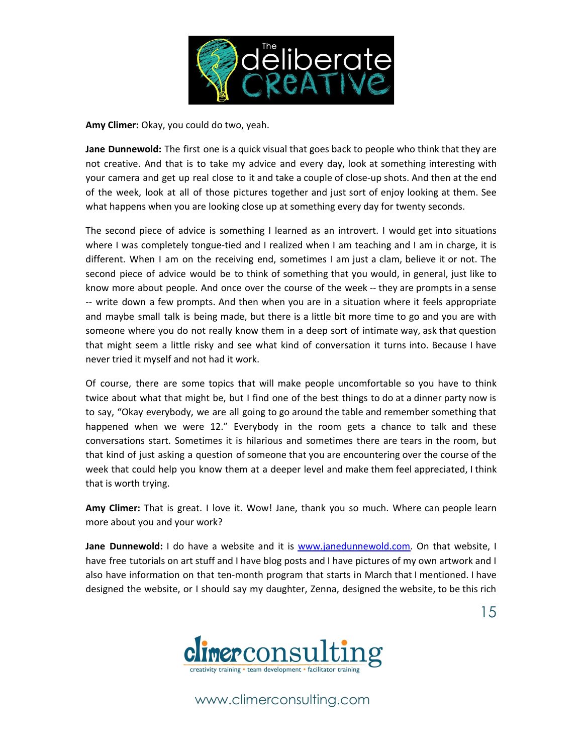

**Amy Climer:** Okay, you could do two, yeah.

**Jane Dunnewold:** The first one is a quick visual that goes back to people who think that they are not creative. And that is to take my advice and every day, look at something interesting with your camera and get up real close to it and take a couple of close-up shots. And then at the end of the week, look at all of those pictures together and just sort of enjoy looking at them. See what happens when you are looking close up at something every day for twenty seconds.

The second piece of advice is something I learned as an introvert. I would get into situations where I was completely tongue-tied and I realized when I am teaching and I am in charge, it is different. When I am on the receiving end, sometimes I am just a clam, believe it or not. The second piece of advice would be to think of something that you would, in general, just like to know more about people. And once over the course of the week -- they are prompts in a sense -- write down a few prompts. And then when you are in a situation where it feels appropriate and maybe small talk is being made, but there is a little bit more time to go and you are with someone where you do not really know them in a deep sort of intimate way, ask that question that might seem a little risky and see what kind of conversation it turns into. Because I have never tried it myself and not had it work.

Of course, there are some topics that will make people uncomfortable so you have to think twice about what that might be, but I find one of the best things to do at a dinner party now is to say, "Okay everybody, we are all going to go around the table and remember something that happened when we were 12." Everybody in the room gets a chance to talk and these conversations start. Sometimes it is hilarious and sometimes there are tears in the room, but that kind of just asking a question of someone that you are encountering over the course of the week that could help you know them at a deeper level and make them feel appreciated, I think that is worth trying.

**Amy Climer:** That is great. I love it. Wow! Jane, thank you so much. Where can people learn more about you and your work?

**Jane Dunnewold:** I do have a website and it is [www.janedunnewold.com.](http://www.janedunnewold.com/) On that website, I have free tutorials on art stuff and I have blog posts and I have pictures of my own artwork and I also have information on that ten-month program that starts in March that I mentioned. I have designed the website, or I should say my daughter, Zenna, designed the website, to be this rich

15